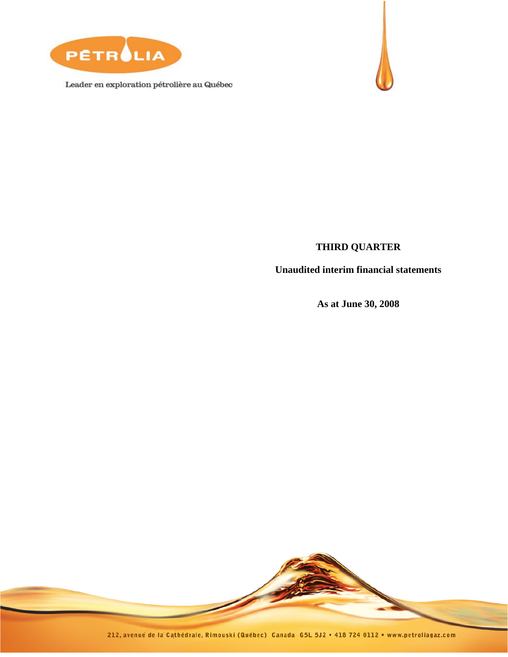

Leader en exploration pétrolière au Québec



## **THIRD QUARTER**

**Unaudited interim financial statements** 

**As at June 30, 2008** 

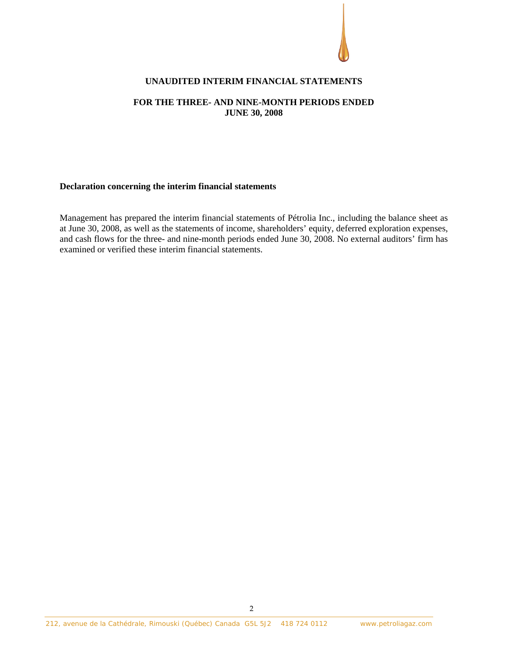

### **UNAUDITED INTERIM FINANCIAL STATEMENTS**

#### **FOR THE THREE- AND NINE-MONTH PERIODS ENDED JUNE 30, 2008**

#### **Declaration concerning the interim financial statements**

Management has prepared the interim financial statements of Pétrolia Inc., including the balance sheet as at June 30, 2008, as well as the statements of income, shareholders' equity, deferred exploration expenses, and cash flows for the three- and nine-month periods ended June 30, 2008. No external auditors' firm has examined or verified these interim financial statements.

2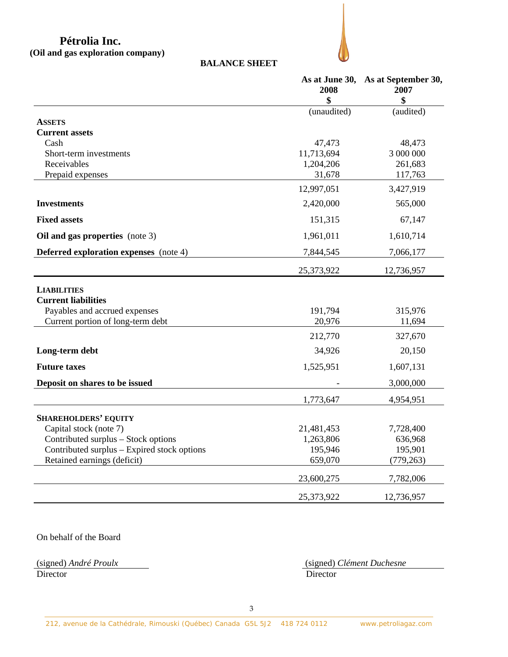**BALANCE SHEET** 

|                                               | 2008        | As at June 30, As at September 30,<br>2007 |
|-----------------------------------------------|-------------|--------------------------------------------|
|                                               | \$          | \$                                         |
|                                               | (unaudited) | (audited)                                  |
| <b>ASSETS</b>                                 |             |                                            |
| <b>Current assets</b><br>Cash                 | 47,473      | 48,473                                     |
| Short-term investments                        | 11,713,694  | 3 000 000                                  |
| Receivables                                   | 1,204,206   | 261,683                                    |
| Prepaid expenses                              | 31,678      | 117,763                                    |
|                                               | 12,997,051  | 3,427,919                                  |
| <b>Investments</b>                            | 2,420,000   | 565,000                                    |
| <b>Fixed assets</b>                           | 151,315     | 67,147                                     |
| Oil and gas properties (note 3)               | 1,961,011   | 1,610,714                                  |
| <b>Deferred exploration expenses</b> (note 4) | 7,844,545   | 7,066,177                                  |
|                                               | 25,373,922  | 12,736,957                                 |
| <b>LIABILITIES</b>                            |             |                                            |
| <b>Current liabilities</b>                    |             |                                            |
| Payables and accrued expenses                 | 191,794     | 315,976                                    |
| Current portion of long-term debt             | 20,976      | 11,694                                     |
|                                               | 212,770     | 327,670                                    |
| Long-term debt                                | 34,926      | 20,150                                     |
| <b>Future taxes</b>                           | 1,525,951   | 1,607,131                                  |
| Deposit on shares to be issued                |             | 3,000,000                                  |
|                                               | 1,773,647   | 4,954,951                                  |
| <b>SHAREHOLDERS' EQUITY</b>                   |             |                                            |
| Capital stock (note 7)                        | 21,481,453  | 7,728,400                                  |
| Contributed surplus - Stock options           | 1,263,806   | 636,968                                    |
| Contributed surplus - Expired stock options   | 195,946     | 195,901                                    |
| Retained earnings (deficit)                   | 659,070     | (779, 263)                                 |
|                                               | 23,600,275  | 7,782,006                                  |
|                                               | 25,373,922  | 12,736,957                                 |

On behalf of the Board

Director Director Director

(signed) *André Proulx* (signed) *Clément Duchesne*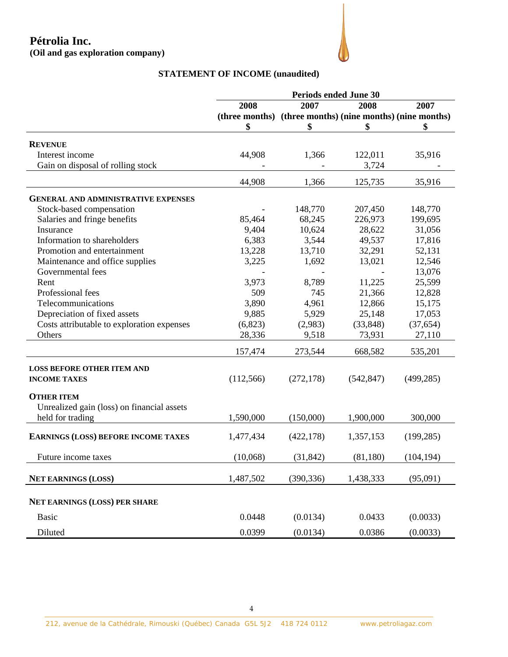

## **STATEMENT OF INCOME (unaudited)**

|                                            | <b>Periods ended June 30</b> |            |            |                                                           |  |
|--------------------------------------------|------------------------------|------------|------------|-----------------------------------------------------------|--|
|                                            | 2008<br>2008<br>2007         |            |            | 2007                                                      |  |
|                                            |                              |            |            | (three months) (three months) (nine months) (nine months) |  |
|                                            | \$                           | \$         | \$         | \$                                                        |  |
| <b>REVENUE</b>                             |                              |            |            |                                                           |  |
| Interest income                            | 44,908                       | 1,366      | 122,011    | 35,916                                                    |  |
| Gain on disposal of rolling stock          |                              |            | 3,724      |                                                           |  |
|                                            |                              |            |            |                                                           |  |
|                                            | 44,908                       | 1,366      | 125,735    | 35,916                                                    |  |
| <b>GENERAL AND ADMINISTRATIVE EXPENSES</b> |                              |            |            |                                                           |  |
| Stock-based compensation                   |                              | 148,770    | 207,450    | 148,770                                                   |  |
| Salaries and fringe benefits               | 85,464                       | 68,245     | 226,973    | 199,695                                                   |  |
| Insurance                                  | 9,404                        | 10,624     | 28,622     | 31,056                                                    |  |
| Information to shareholders                | 6,383                        | 3,544      | 49,537     | 17,816                                                    |  |
| Promotion and entertainment                | 13,228                       | 13,710     | 32,291     | 52,131                                                    |  |
| Maintenance and office supplies            | 3,225                        | 1,692      | 13,021     | 12,546                                                    |  |
| Governmental fees                          |                              |            |            | 13,076                                                    |  |
| Rent                                       | 3,973                        | 8,789      | 11,225     | 25,599                                                    |  |
| Professional fees                          | 509                          | 745        | 21,366     | 12,828                                                    |  |
| Telecommunications                         | 3,890                        | 4,961      | 12,866     | 15,175                                                    |  |
| Depreciation of fixed assets               | 9,885                        | 5,929      | 25,148     | 17,053                                                    |  |
| Costs attributable to exploration expenses | (6, 823)                     | (2,983)    | (33, 848)  | (37, 654)                                                 |  |
| Others                                     | 28,336                       | 9,518      | 73,931     | 27,110                                                    |  |
|                                            | 157,474                      | 273,544    | 668,582    | 535,201                                                   |  |
|                                            |                              |            |            |                                                           |  |
| <b>LOSS BEFORE OTHER ITEM AND</b>          | (112, 566)                   | (272, 178) | (542, 847) | (499, 285)                                                |  |
| <b>INCOME TAXES</b>                        |                              |            |            |                                                           |  |
| <b>OTHER ITEM</b>                          |                              |            |            |                                                           |  |
| Unrealized gain (loss) on financial assets |                              |            |            |                                                           |  |
| held for trading                           | 1,590,000                    | (150,000)  | 1,900,000  | 300,000                                                   |  |
| <b>EARNINGS (LOSS) BEFORE INCOME TAXES</b> | 1,477,434                    | (422, 178) | 1,357,153  | (199, 285)                                                |  |
|                                            |                              |            |            |                                                           |  |
| Future income taxes                        | (10,068)                     | (31, 842)  | (81,180)   | (104, 194)                                                |  |
| <b>NET EARNINGS (LOSS)</b>                 | 1,487,502                    | (390, 336) | 1,438,333  | (95,091)                                                  |  |
|                                            |                              |            |            |                                                           |  |
| <b>NET EARNINGS (LOSS) PER SHARE</b>       |                              |            |            |                                                           |  |
| <b>Basic</b>                               | 0.0448                       | (0.0134)   | 0.0433     | (0.0033)                                                  |  |
| Diluted                                    | 0.0399                       | (0.0134)   | 0.0386     | (0.0033)                                                  |  |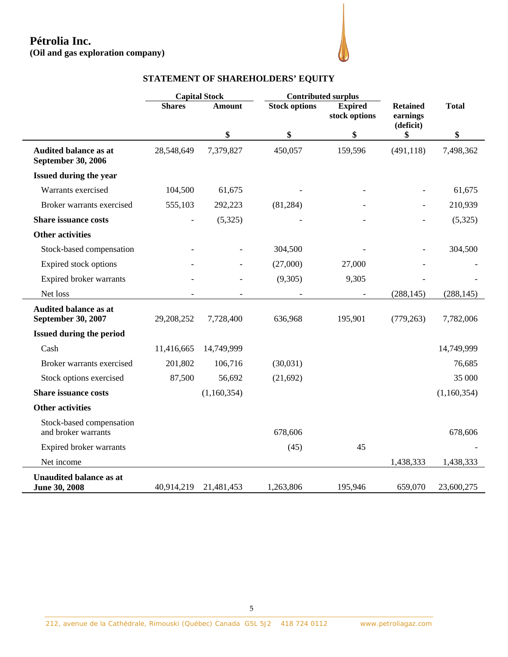

## **STATEMENT OF SHAREHOLDERS' EQUITY**

|                                                    |               | <b>Capital Stock</b> |                      |                                 | <b>Contributed surplus</b>               |              |
|----------------------------------------------------|---------------|----------------------|----------------------|---------------------------------|------------------------------------------|--------------|
|                                                    | <b>Shares</b> | <b>Amount</b>        | <b>Stock options</b> | <b>Expired</b><br>stock options | <b>Retained</b><br>earnings<br>(deficit) | <b>Total</b> |
|                                                    |               | \$                   | \$                   | \$                              | \$                                       | \$           |
| <b>Audited balance as at</b><br>September 30, 2006 | 28,548,649    | 7,379,827            | 450,057              | 159,596                         | (491, 118)                               | 7,498,362    |
| <b>Issued during the year</b>                      |               |                      |                      |                                 |                                          |              |
| Warrants exercised                                 | 104,500       | 61,675               |                      |                                 |                                          | 61,675       |
| Broker warrants exercised                          | 555,103       | 292,223              | (81, 284)            |                                 |                                          | 210,939      |
| Share issuance costs                               |               | (5,325)              |                      |                                 |                                          | (5,325)      |
| <b>Other activities</b>                            |               |                      |                      |                                 |                                          |              |
| Stock-based compensation                           |               |                      | 304,500              |                                 |                                          | 304,500      |
| Expired stock options                              |               |                      | (27,000)             | 27,000                          |                                          |              |
| Expired broker warrants                            |               |                      | (9,305)              | 9,305                           |                                          |              |
| Net loss                                           |               |                      |                      |                                 | (288, 145)                               | (288, 145)   |
| <b>Audited balance as at</b><br>September 30, 2007 | 29,208,252    | 7,728,400            | 636,968              | 195,901                         | (779, 263)                               | 7,782,006    |
| <b>Issued during the period</b>                    |               |                      |                      |                                 |                                          |              |
| Cash                                               | 11,416,665    | 14,749,999           |                      |                                 |                                          | 14,749,999   |
| Broker warrants exercised                          | 201,802       | 106,716              | (30,031)             |                                 |                                          | 76,685       |
| Stock options exercised                            | 87,500        | 56,692               | (21,692)             |                                 |                                          | 35 000       |
| <b>Share issuance costs</b>                        |               | (1,160,354)          |                      |                                 |                                          | (1,160,354)  |
| <b>Other activities</b>                            |               |                      |                      |                                 |                                          |              |
| Stock-based compensation<br>and broker warrants    |               |                      | 678,606              |                                 |                                          | 678,606      |
| Expired broker warrants                            |               |                      | (45)                 | 45                              |                                          |              |
| Net income                                         |               |                      |                      |                                 | 1,438,333                                | 1,438,333    |
| <b>Unaudited balance as at</b><br>June 30, 2008    | 40,914,219    | 21,481,453           | 1,263,806            | 195,946                         | 659,070                                  | 23,600,275   |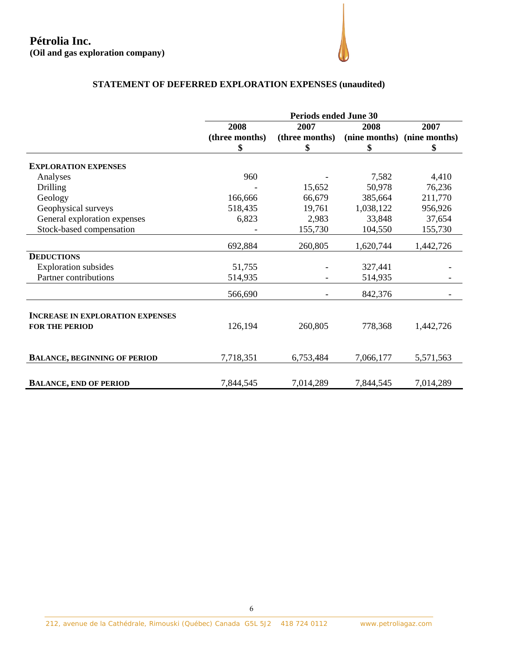## **STATEMENT OF DEFERRED EXPLORATION EXPENSES (unaudited)**

|                                         | <b>Periods ended June 30</b> |                |           |                             |
|-----------------------------------------|------------------------------|----------------|-----------|-----------------------------|
|                                         | 2008                         | 2007           | 2008      | 2007                        |
|                                         | (three months)               | (three months) |           | (nine months) (nine months) |
|                                         | \$                           | \$             | \$        | \$                          |
| <b>EXPLORATION EXPENSES</b>             |                              |                |           |                             |
| Analyses                                | 960                          |                | 7,582     | 4,410                       |
| Drilling                                |                              | 15,652         | 50,978    | 76,236                      |
| Geology                                 | 166,666                      | 66,679         | 385,664   | 211,770                     |
| Geophysical surveys                     | 518,435                      | 19,761         | 1,038,122 | 956,926                     |
| General exploration expenses            | 6,823                        | 2,983          | 33,848    | 37,654                      |
| Stock-based compensation                |                              | 155,730        | 104,550   | 155,730                     |
|                                         | 692,884                      | 260,805        | 1,620,744 | 1,442,726                   |
| <b>DEDUCTIONS</b>                       |                              |                |           |                             |
| <b>Exploration</b> subsides             | 51,755                       |                | 327,441   |                             |
| Partner contributions                   | 514,935                      |                | 514,935   |                             |
|                                         | 566,690                      |                | 842,376   |                             |
| <b>INCREASE IN EXPLORATION EXPENSES</b> |                              |                |           |                             |
| <b>FOR THE PERIOD</b>                   | 126,194                      | 260,805        | 778,368   | 1,442,726                   |
| <b>BALANCE, BEGINNING OF PERIOD</b>     | 7,718,351                    | 6,753,484      | 7,066,177 | 5,571,563                   |
|                                         |                              |                |           |                             |
| <b>BALANCE, END OF PERIOD</b>           | 7,844,545                    | 7,014,289      | 7,844,545 | 7,014,289                   |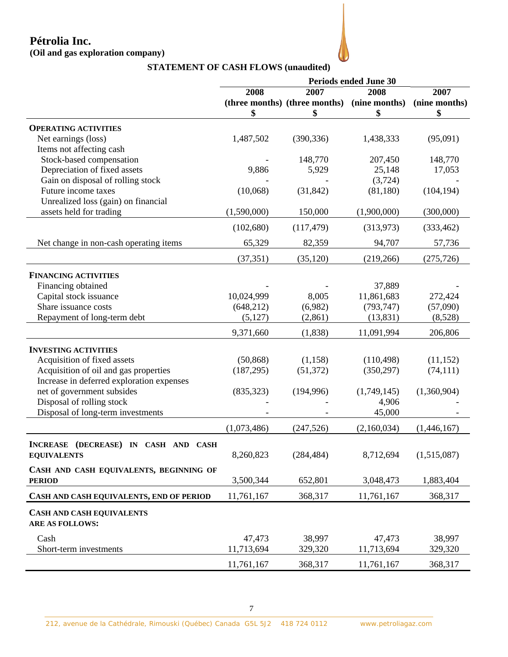# **Pétrolia Inc.**

## **(Oil and gas exploration company)**

|                                           | <b>Periods ended June 30</b> |                                             |                             |                             |
|-------------------------------------------|------------------------------|---------------------------------------------|-----------------------------|-----------------------------|
|                                           | 2008<br>\$                   | 2007<br>(three months) (three months)<br>\$ | 2008<br>(nine months)<br>\$ | 2007<br>(nine months)<br>\$ |
| <b>OPERATING ACTIVITIES</b>               |                              |                                             |                             |                             |
| Net earnings (loss)                       | 1,487,502                    | (390, 336)                                  | 1,438,333                   | (95,091)                    |
| Items not affecting cash                  |                              |                                             |                             |                             |
| Stock-based compensation                  |                              | 148,770                                     | 207,450                     | 148,770                     |
| Depreciation of fixed assets              | 9,886                        | 5,929                                       | 25,148                      | 17,053                      |
| Gain on disposal of rolling stock         |                              |                                             | (3,724)                     |                             |
| Future income taxes                       | (10,068)                     | (31, 842)                                   | (81,180)                    | (104, 194)                  |
| Unrealized loss (gain) on financial       |                              |                                             |                             |                             |
| assets held for trading                   | (1,590,000)                  | 150,000                                     | (1,900,000)                 | (300,000)                   |
|                                           | (102, 680)                   | (117, 479)                                  | (313,973)                   | (333, 462)                  |
| Net change in non-cash operating items    | 65,329                       | 82,359                                      | 94,707                      | 57,736                      |
|                                           | (37, 351)                    | (35, 120)                                   | (219, 266)                  | (275, 726)                  |
| <b>FINANCING ACTIVITIES</b>               |                              |                                             |                             |                             |
| Financing obtained                        |                              |                                             | 37,889                      |                             |
| Capital stock issuance                    | 10,024,999                   | 8,005                                       | 11,861,683                  | 272,424                     |
| Share issuance costs                      | (648, 212)                   | (6,982)                                     | (793, 747)                  | (57,090)                    |
| Repayment of long-term debt               | (5,127)                      | (2, 861)                                    | (13, 831)                   | (8,528)                     |
|                                           | 9,371,660                    | (1,838)                                     | 11,091,994                  | 206,806                     |
| <b>INVESTING ACTIVITIES</b>               |                              |                                             |                             |                             |
| Acquisition of fixed assets               | (50, 868)                    | (1,158)                                     | (110, 498)                  | (11, 152)                   |
| Acquisition of oil and gas properties     | (187, 295)                   | (51, 372)                                   | (350, 297)                  | (74, 111)                   |
| Increase in deferred exploration expenses |                              |                                             |                             |                             |
| net of government subsides                | (835, 323)                   | (194,996)                                   | (1,749,145)                 | (1,360,904)                 |
| Disposal of rolling stock                 |                              |                                             | 4,906                       |                             |
| Disposal of long-term investments         |                              |                                             | 45,000                      |                             |
|                                           | (1,073,486)                  | (247, 526)                                  | (2,160,034)                 | (1,446,167)                 |
| INCREASE (DECREASE) IN CASH AND CASH      |                              |                                             |                             |                             |
| <b>EQUIVALENTS</b>                        | 8,260,823                    | (284, 484)                                  | 8,712,694                   | (1,515,087)                 |
| CASH AND CASH EQUIVALENTS, BEGINNING OF   |                              |                                             |                             |                             |
| <b>PERIOD</b>                             | 3,500,344                    | 652,801                                     | 3,048,473                   | 1,883,404                   |
| CASH AND CASH EQUIVALENTS, END OF PERIOD  | 11,761,167                   | 368,317                                     | 11,761,167                  | 368,317                     |
| <b>CASH AND CASH EQUIVALENTS</b>          |                              |                                             |                             |                             |
| <b>ARE AS FOLLOWS:</b>                    |                              |                                             |                             |                             |
| Cash                                      | 47,473                       | 38,997                                      | 47,473                      | 38,997                      |
| Short-term investments                    | 11,713,694                   | 329,320                                     | 11,713,694                  | 329,320                     |
|                                           | 11,761,167                   | 368,317                                     | 11,761,167                  | 368,317                     |

## **STATEMENT OF CASH FLOWS (unaudited)**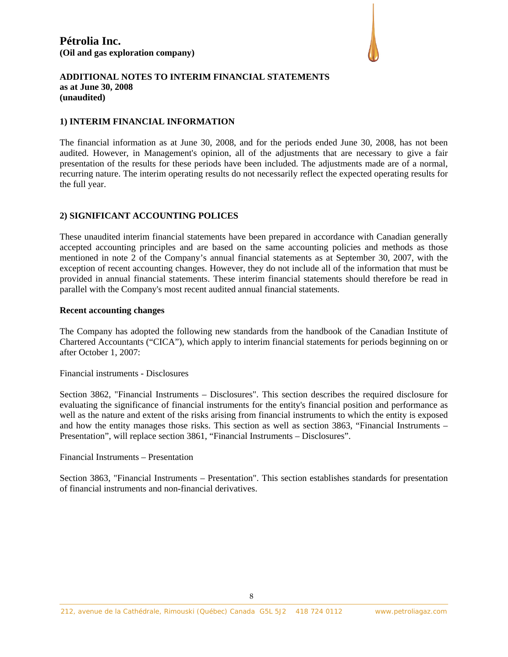

#### **ADDITIONAL NOTES TO INTERIM FINANCIAL STATEMENTS as at June 30, 2008 (unaudited)**

## **1) INTERIM FINANCIAL INFORMATION**

The financial information as at June 30, 2008, and for the periods ended June 30, 2008, has not been audited. However, in Management's opinion, all of the adjustments that are necessary to give a fair presentation of the results for these periods have been included. The adjustments made are of a normal, recurring nature. The interim operating results do not necessarily reflect the expected operating results for the full year.

## **2) SIGNIFICANT ACCOUNTING POLICES**

These unaudited interim financial statements have been prepared in accordance with Canadian generally accepted accounting principles and are based on the same accounting policies and methods as those mentioned in note 2 of the Company's annual financial statements as at September 30, 2007, with the exception of recent accounting changes. However, they do not include all of the information that must be provided in annual financial statements. These interim financial statements should therefore be read in parallel with the Company's most recent audited annual financial statements.

#### **Recent accounting changes**

The Company has adopted the following new standards from the handbook of the Canadian Institute of Chartered Accountants ("CICA"), which apply to interim financial statements for periods beginning on or after October 1, 2007:

Financial instruments - Disclosures

Section 3862, "Financial Instruments – Disclosures". This section describes the required disclosure for evaluating the significance of financial instruments for the entity's financial position and performance as well as the nature and extent of the risks arising from financial instruments to which the entity is exposed and how the entity manages those risks. This section as well as section 3863, "Financial Instruments – Presentation", will replace section 3861, "Financial Instruments – Disclosures".

Financial Instruments – Presentation

Section 3863, "Financial Instruments – Presentation". This section establishes standards for presentation of financial instruments and non-financial derivatives.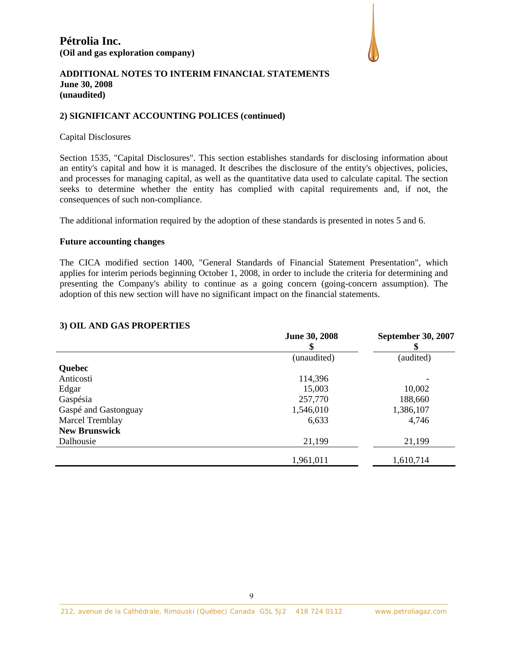

## **ADDITIONAL NOTES TO INTERIM FINANCIAL STATEMENTS June 30, 2008 (unaudited)**

### **2) SIGNIFICANT ACCOUNTING POLICES (continued)**

#### Capital Disclosures

Section 1535, "Capital Disclosures". This section establishes standards for disclosing information about an entity's capital and how it is managed. It describes the disclosure of the entity's objectives, policies, and processes for managing capital, as well as the quantitative data used to calculate capital. The section seeks to determine whether the entity has complied with capital requirements and, if not, the consequences of such non-compliance.

The additional information required by the adoption of these standards is presented in notes 5 and 6.

### **Future accounting changes**

The CICA modified section 1400, "General Standards of Financial Statement Presentation", which applies for interim periods beginning October 1, 2008, in order to include the criteria for determining and presenting the Company's ability to continue as a going concern (going-concern assumption). The adoption of this new section will have no significant impact on the financial statements.

### **3) OIL AND GAS PROPERTIES**

| June 30, 2008 | <b>September 30, 2007</b> |
|---------------|---------------------------|
| ъ             |                           |
| (unaudited)   | (audited)                 |
|               |                           |
| 114,396       |                           |
| 15,003        | 10,002                    |
| 257,770       | 188,660                   |
| 1,546,010     | 1,386,107                 |
| 6,633         | 4,746                     |
|               |                           |
| 21,199        | 21,199                    |
| 1,961,011     | 1,610,714                 |
|               |                           |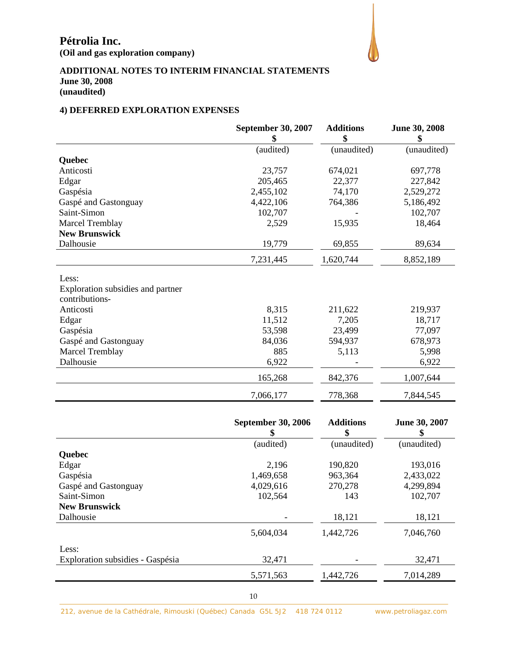

## **ADDITIONAL NOTES TO INTERIM FINANCIAL STATEMENTS June 30, 2008 (unaudited)**

## **4) DEFERRED EXPLORATION EXPENSES**

|                                   | <b>September 30, 2007</b> | <b>Additions</b> | June 30, 2008 |
|-----------------------------------|---------------------------|------------------|---------------|
|                                   | \$                        | \$               | \$            |
|                                   | (audited)                 | (unaudited)      | (unaudited)   |
| Quebec                            |                           |                  |               |
| Anticosti                         | 23,757                    | 674,021          | 697,778       |
| Edgar                             | 205,465                   | 22,377           | 227,842       |
| Gaspésia                          | 2,455,102                 | 74,170           | 2,529,272     |
| Gaspé and Gastonguay              | 4,422,106                 | 764,386          | 5,186,492     |
| Saint-Simon                       | 102,707                   |                  | 102,707       |
| <b>Marcel Tremblay</b>            | 2,529                     | 15,935           | 18,464        |
| <b>New Brunswick</b>              |                           |                  |               |
| Dalhousie                         | 19,779                    | 69,855           | 89,634        |
|                                   | 7,231,445                 | 1,620,744        | 8,852,189     |
| Less:                             |                           |                  |               |
| Exploration subsidies and partner |                           |                  |               |
| contributions-                    |                           |                  |               |
| Anticosti                         | 8,315                     | 211,622          | 219,937       |
| Edgar                             | 11,512                    | 7,205            | 18,717        |
| Gaspésia                          | 53,598                    | 23,499           | 77,097        |
| Gaspé and Gastonguay              | 84,036                    | 594,937          | 678,973       |
| <b>Marcel Tremblay</b>            | 885                       | 5,113            | 5,998         |
| Dalhousie                         | 6,922                     |                  | 6,922         |
|                                   | 165,268                   | 842,376          | 1,007,644     |
|                                   | 7,066,177                 | 778,368          | 7,844,545     |

|                                  | <b>September 30, 2006</b><br>\$ | <b>Additions</b><br>\$ | June 30, 2007<br>\$ |
|----------------------------------|---------------------------------|------------------------|---------------------|
|                                  | (audited)                       | (unaudited)            | (unaudited)         |
| <b>Quebec</b>                    |                                 |                        |                     |
| Edgar                            | 2,196                           | 190,820                | 193,016             |
| Gaspésia                         | 1,469,658                       | 963,364                | 2,433,022           |
| Gaspé and Gastonguay             | 4,029,616                       | 270,278                | 4,299,894           |
| Saint-Simon                      | 102,564                         | 143                    | 102,707             |
| <b>New Brunswick</b>             |                                 |                        |                     |
| Dalhousie                        |                                 | 18,121                 | 18,121              |
|                                  | 5,604,034                       | 1,442,726              | 7,046,760           |
| Less:                            |                                 |                        |                     |
| Exploration subsidies - Gaspésia | 32,471                          |                        | 32,471              |
|                                  | 5,571,563                       | 1,442,726              | 7,014,289           |
|                                  |                                 |                        |                     |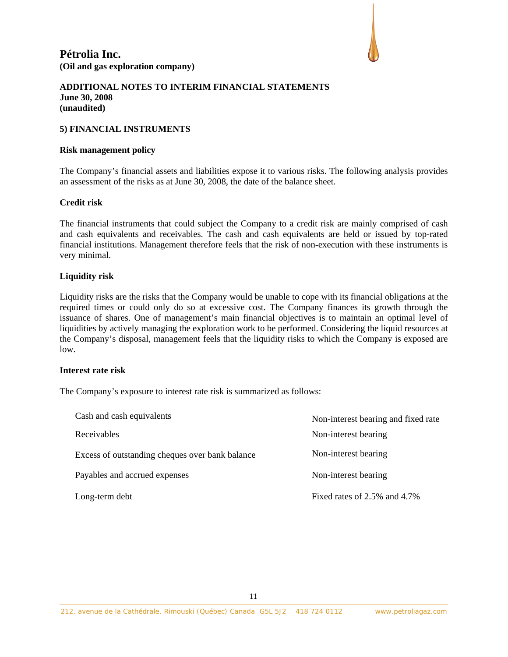

### **ADDITIONAL NOTES TO INTERIM FINANCIAL STATEMENTS June 30, 2008 (unaudited)**

#### **5) FINANCIAL INSTRUMENTS**

#### **Risk management policy**

The Company's financial assets and liabilities expose it to various risks. The following analysis provides an assessment of the risks as at June 30, 2008, the date of the balance sheet.

#### **Credit risk**

The financial instruments that could subject the Company to a credit risk are mainly comprised of cash and cash equivalents and receivables. The cash and cash equivalents are held or issued by top-rated financial institutions. Management therefore feels that the risk of non-execution with these instruments is very minimal.

#### **Liquidity risk**

Liquidity risks are the risks that the Company would be unable to cope with its financial obligations at the required times or could only do so at excessive cost. The Company finances its growth through the issuance of shares. One of management's main financial objectives is to maintain an optimal level of liquidities by actively managing the exploration work to be performed. Considering the liquid resources at the Company's disposal, management feels that the liquidity risks to which the Company is exposed are low.

### **Interest rate risk**

The Company's exposure to interest rate risk is summarized as follows:

| Cash and cash equivalents                       | Non-interest bearing and fixed rate |
|-------------------------------------------------|-------------------------------------|
| Receivables                                     | Non-interest bearing                |
| Excess of outstanding cheques over bank balance | Non-interest bearing                |
| Payables and accrued expenses                   | Non-interest bearing                |
| Long-term debt                                  | Fixed rates of $2.5\%$ and $4.7\%$  |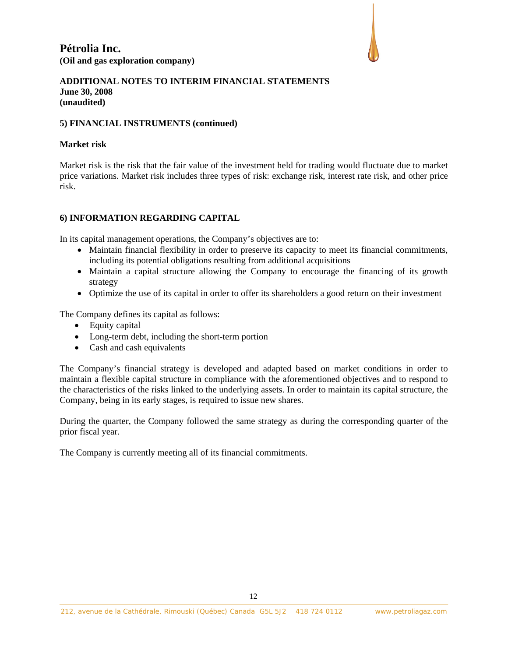

### **ADDITIONAL NOTES TO INTERIM FINANCIAL STATEMENTS June 30, 2008 (unaudited)**

## **5) FINANCIAL INSTRUMENTS (continued)**

## **Market risk**

Market risk is the risk that the fair value of the investment held for trading would fluctuate due to market price variations. Market risk includes three types of risk: exchange risk, interest rate risk, and other price risk.

## **6) INFORMATION REGARDING CAPITAL**

In its capital management operations, the Company's objectives are to:

- Maintain financial flexibility in order to preserve its capacity to meet its financial commitments, including its potential obligations resulting from additional acquisitions
- Maintain a capital structure allowing the Company to encourage the financing of its growth strategy
- Optimize the use of its capital in order to offer its shareholders a good return on their investment

The Company defines its capital as follows:

- Equity capital
- Long-term debt, including the short-term portion
- Cash and cash equivalents

The Company's financial strategy is developed and adapted based on market conditions in order to maintain a flexible capital structure in compliance with the aforementioned objectives and to respond to the characteristics of the risks linked to the underlying assets. In order to maintain its capital structure, the Company, being in its early stages, is required to issue new shares.

During the quarter, the Company followed the same strategy as during the corresponding quarter of the prior fiscal year.

The Company is currently meeting all of its financial commitments.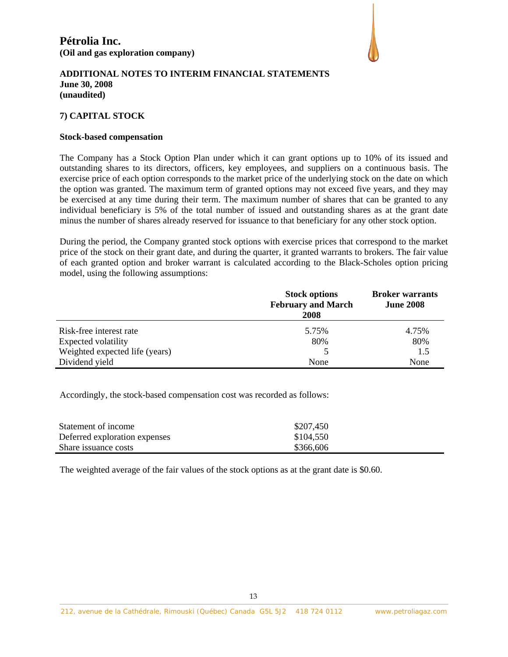

### **ADDITIONAL NOTES TO INTERIM FINANCIAL STATEMENTS June 30, 2008 (unaudited)**

### **7) CAPITAL STOCK**

### **Stock-based compensation**

The Company has a Stock Option Plan under which it can grant options up to 10% of its issued and outstanding shares to its directors, officers, key employees, and suppliers on a continuous basis. The exercise price of each option corresponds to the market price of the underlying stock on the date on which the option was granted. The maximum term of granted options may not exceed five years, and they may be exercised at any time during their term. The maximum number of shares that can be granted to any individual beneficiary is 5% of the total number of issued and outstanding shares as at the grant date minus the number of shares already reserved for issuance to that beneficiary for any other stock option.

During the period, the Company granted stock options with exercise prices that correspond to the market price of the stock on their grant date, and during the quarter, it granted warrants to brokers. The fair value of each granted option and broker warrant is calculated according to the Black-Scholes option pricing model, using the following assumptions:

|                                | <b>Stock options</b><br><b>February and March</b><br>2008 | <b>Broker warrants</b><br><b>June 2008</b> |
|--------------------------------|-----------------------------------------------------------|--------------------------------------------|
| Risk-free interest rate        | 5.75%                                                     | 4.75%                                      |
| Expected volatility            | 80%                                                       | 80%                                        |
| Weighted expected life (years) |                                                           | 1.5                                        |
| Dividend yield                 | None                                                      | None                                       |

Accordingly, the stock-based compensation cost was recorded as follows:

| Statement of income           | \$207,450 |
|-------------------------------|-----------|
| Deferred exploration expenses | \$104,550 |
| Share issuance costs          | \$366,606 |

The weighted average of the fair values of the stock options as at the grant date is \$0.60.